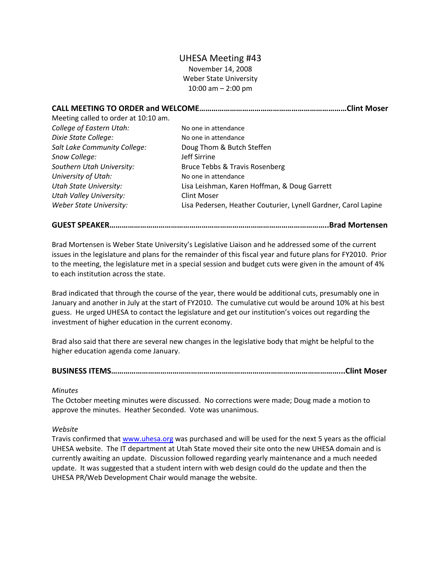# UHESA Meeting #43

November 14, 2008 Weber State University 10:00 am – 2:00 pm

|                                      |                                                                | .Clint Moser |
|--------------------------------------|----------------------------------------------------------------|--------------|
| Meeting called to order at 10:10 am. |                                                                |              |
| College of Eastern Utah:             | No one in attendance                                           |              |
| Dixie State College:                 | No one in attendance                                           |              |
| Salt Lake Community College:         | Doug Thom & Butch Steffen                                      |              |
| Snow College:                        | Jeff Sirrine                                                   |              |
| Southern Utah University:            | Bruce Tebbs & Travis Rosenberg                                 |              |
| University of Utah:                  | No one in attendance                                           |              |
| <b>Utah State University:</b>        | Lisa Leishman, Karen Hoffman, & Doug Garrett                   |              |
| <b>Utah Valley University:</b>       | Clint Moser                                                    |              |
| Weber State University:              | Lisa Pedersen, Heather Couturier, Lynell Gardner, Carol Lapine |              |

## **GUEST SPEAKER……………………………………………………………………………………………..Brad Mortensen**

Brad Mortensen is Weber State University's Legislative Liaison and he addressed some of the current issues in the legislature and plans for the remainder of this fiscal year and future plans for FY2010. Prior to the meeting, the legislature met in a special session and budget cuts were given in the amount of 4% to each institution across the state.

Brad indicated that through the course of the year, there would be additional cuts, presumably one in January and another in July at the start of FY2010. The cumulative cut would be around 10% at his best guess. He urged UHESA to contact the legislature and get our institution's voices out regarding the investment of higher education in the current economy.

Brad also said that there are several new changes in the legislative body that might be helpful to the higher education agenda come January.

# **BUSINESS ITEMS…………………………………………………………………………………………………...Clint Moser**

#### *Minutes*

The October meeting minutes were discussed. No corrections were made; Doug made a motion to approve the minutes. Heather Seconded. Vote was unanimous.

#### *Website*

Travis confirmed that [www.uhesa.org](http://www.uhesa.org/) was purchased and will be used for the next 5 years as the official UHESA website. The IT department at Utah State moved their site onto the new UHESA domain and is currently awaiting an update. Discussion followed regarding yearly maintenance and a much needed update. It was suggested that a student intern with web design could do the update and then the UHESA PR/Web Development Chair would manage the website.